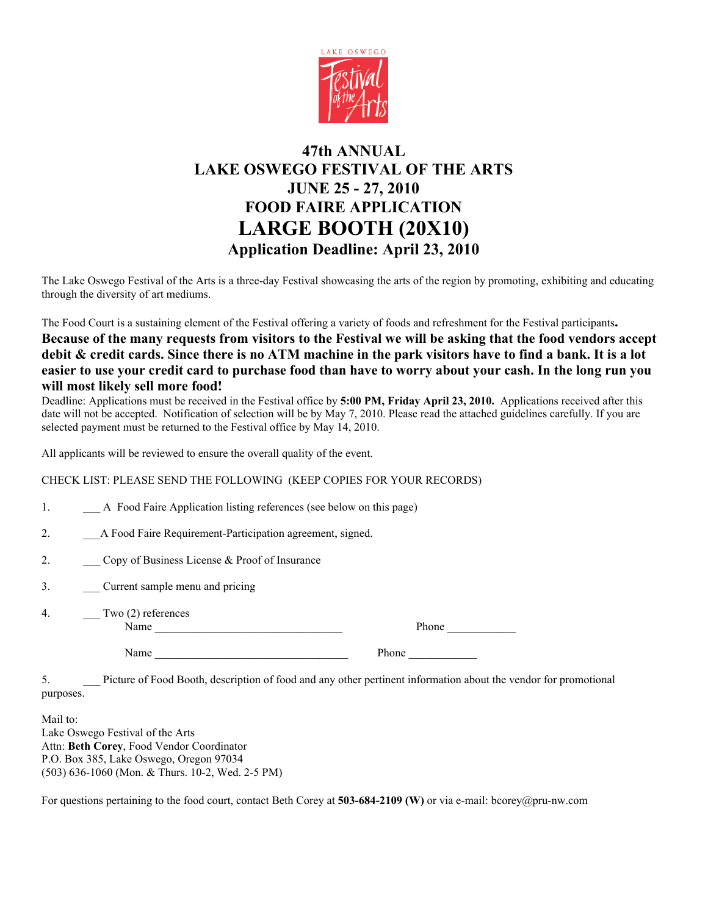

## **47th ANNUAL LAKE OSWEGO FESTIVAL OF THE ARTS JUNE 25 - 27, 2010 FOOD FAIRE APPLICATION LARGE BOOTH (20X10) Application Deadline: April 23, 2010**

The Lake Oswego Festival of the Arts is a three-day Festival showcasing the arts of the region by promoting, exhibiting and educating through the diversity of art mediums.

The Food Court is a sustaining element of the Festival offering a variety of foods and refreshment for the Festival participants**.**

## **Because of the many requests from visitors to the Festival we will be asking that the food vendors accept debit & credit cards. Since there is no ATM machine in the park visitors have to find a bank. It is a lot easier to use your credit card to purchase food than have to worry about your cash. In the long run you will most likely sell more food!**

Deadline: Applications must be received in the Festival office by **5:00 PM, Friday April 23, 2010.** Applications received after this date will not be accepted. Notification of selection will be by May 7, 2010. Please read the attached guidelines carefully. If you are selected payment must be returned to the Festival office by May 14, 2010.

All applicants will be reviewed to ensure the overall quality of the event.

CHECK LIST: PLEASE SEND THE FOLLOWING (KEEP COPIES FOR YOUR RECORDS)

- 1. A Food Faire Application listing references (see below on this page)
- 2. A Food Faire Requirement-Participation agreement, signed.
- 2. Copy of Business License & Proof of Insurance
- 3. \_\_\_ Current sample menu and pricing
- 4. Two (2) references Name \_\_\_\_\_\_\_\_\_\_\_\_\_\_\_\_\_\_\_\_\_\_\_\_\_\_\_\_\_\_\_\_\_ Phone \_\_\_\_\_\_\_\_\_\_\_\_

| Phone |  |  |  |
|-------|--|--|--|
|       |  |  |  |

Name Phone

5. \_\_\_ Picture of Food Booth, description of food and any other pertinent information about the vendor for promotional purposes.

Mail to: Lake Oswego Festival of the Arts Attn: **Beth Corey**, Food Vendor Coordinator P.O. Box 385, Lake Oswego, Oregon 97034 (503) 636-1060 (Mon. & Thurs. 10-2, Wed. 2-5 PM)

For questions pertaining to the food court, contact Beth Corey at **503-684-2109 (W)** or via e-mail: bcorey@pru-nw.com